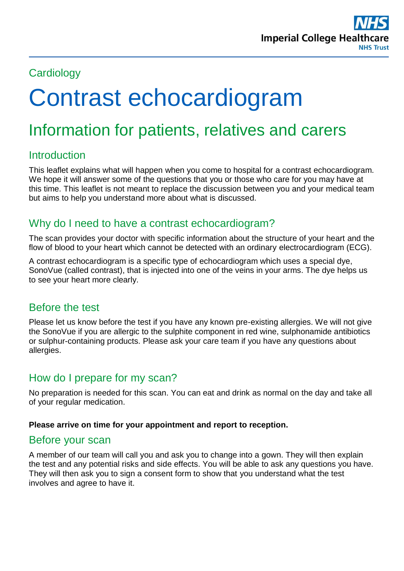

## **Cardiology**

# Contrast echocardiogram

# Information for patients, relatives and carers

# **Introduction**

This leaflet explains what will happen when you come to hospital for a contrast echocardiogram. We hope it will answer some of the questions that you or those who care for you may have at this time. This leaflet is not meant to replace the discussion between you and your medical team but aims to help you understand more about what is discussed.

### Why do I need to have a contrast echocardiogram?

The scan provides your doctor with specific information about the structure of your heart and the flow of blood to your heart which cannot be detected with an ordinary electrocardiogram (ECG).

A contrast echocardiogram is a specific type of echocardiogram which uses a special dye, SonoVue (called contrast), that is injected into one of the veins in your arms. The dye helps us to see your heart more clearly.

#### Before the test

Please let us know before the test if you have any known pre-existing allergies. We will not give the SonoVue if you are allergic to the sulphite component in red wine, sulphonamide antibiotics or sulphur-containing products. Please ask your care team if you have any questions about allergies.

#### How do I prepare for my scan?

No preparation is needed for this scan. You can eat and drink as normal on the day and take all of your regular medication.

#### **Please arrive on time for your appointment and report to reception.**

#### Before your scan

A member of our team will call you and ask you to change into a gown. They will then explain the test and any potential risks and side effects. You will be able to ask any questions you have. They will then ask you to sign a consent form to show that you understand what the test involves and agree to have it.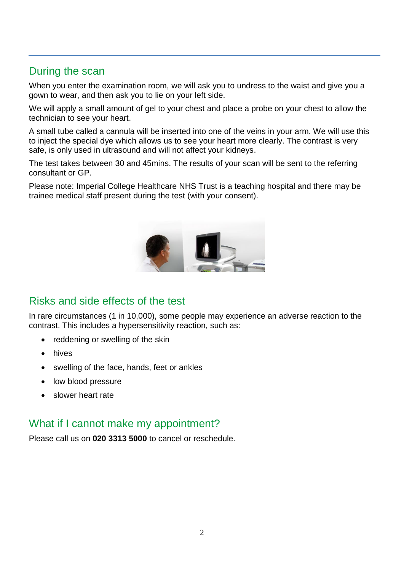# During the scan

When you enter the examination room, we will ask you to undress to the waist and give you a gown to wear, and then ask you to lie on your left side.

We will apply a small amount of gel to your chest and place a probe on your chest to allow the technician to see your heart.

A small tube called a cannula will be inserted into one of the veins in your arm. We will use this to inject the special dye which allows us to see your heart more clearly. The contrast is very safe, is only used in ultrasound and will not affect your kidneys.

The test takes between 30 and 45mins. The results of your scan will be sent to the referring consultant or GP.

Please note: Imperial College Healthcare NHS Trust is a teaching hospital and there may be trainee medical staff present during the test (with your consent).



# Risks and side effects of the test

In rare circumstances (1 in 10,000), some people may experience an adverse reaction to the contrast. This includes a hypersensitivity reaction, such as:

- reddening or swelling of the skin
- hives
- swelling of the face, hands, feet or ankles
- low blood pressure
- slower heart rate

#### What if I cannot make my appointment?

Please call us on **020 3313 5000** to cancel or reschedule.